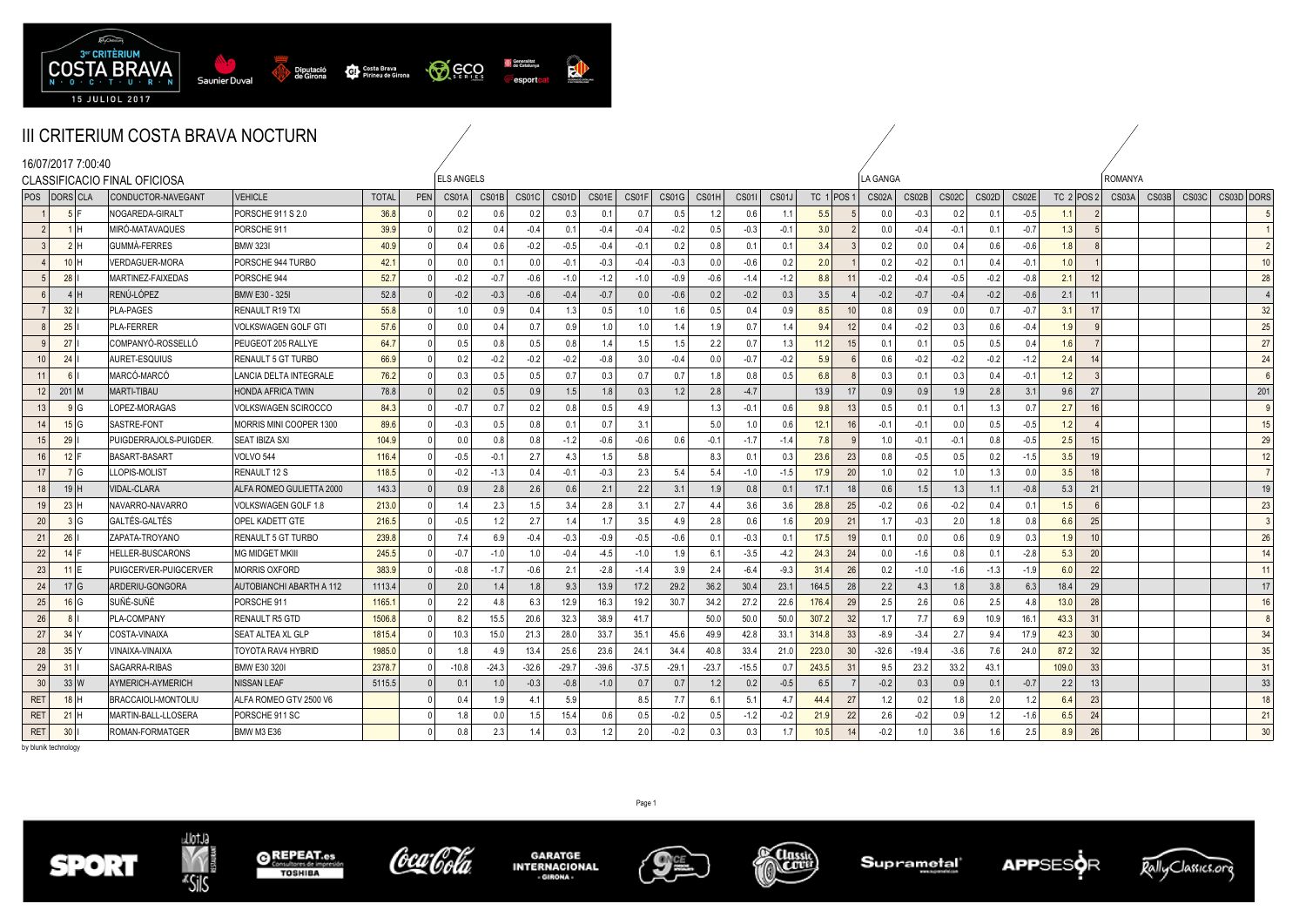

|                | III CRITERIUM COSTA BRAVA NOCTURN |                    |                              |                                 |              |              |                   |         |         |         |                  |         |         |         |              |        |              |                     |         |        |        |        |              |              |       |       |            |                 |
|----------------|-----------------------------------|--------------------|------------------------------|---------------------------------|--------------|--------------|-------------------|---------|---------|---------|------------------|---------|---------|---------|--------------|--------|--------------|---------------------|---------|--------|--------|--------|--------------|--------------|-------|-------|------------|-----------------|
|                |                                   | 16/07/2017 7:00:40 | CLASSIFICACIO FINAL OFICIOSA |                                 |              |              | <b>ELS ANGELS</b> |         |         |         |                  |         |         |         |              |        |              | LA GANGA            |         |        |        |        |              | ROMANYA      |       |       |            |                 |
|                | POS   DORS CLA                    |                    | CONDUCTOR-NAVEGANT           | <b>VEHICLE</b>                  | <b>TOTAL</b> | <b>PEN</b>   | CS01A             | CS01B   | CS01C   | CS01D   | CS01E            | CS01F   | CS01G   | CS01H   | <b>CS011</b> | CS01J  | TC $1$ POS 1 | CS02A               | CS02B   | CS02C  | CS02D  | CS02E  | TC $2$ POS 2 | CS03A        | CS03B | CS03C | CS03D DORS |                 |
|                | 5F                                |                    | NOGAREDA-GIRALT              | PORSCHE 911 S 2.0               | 36.8         |              | 0.2               | 0.6     | 0.2     | 0.3     | 0.1              | 0.7     | 0.5     | 1.2     | 0.6          | $-1.1$ | 5.5          | 0.0                 | $-0.3$  | 0.2    | 0.1    | $-0.5$ | 1.1          |              |       |       |            |                 |
| $\overline{2}$ | 1H                                |                    | MIRO-MATAVAQUES              | PORSCHE 911                     | 39.9         | $\Omega$     | 0.2               | 0.4     | $-0.4$  | 0.1     | $-0.4$           | $-0.4$  | $-0.2$  | 0.5     | $-0.3$       | $-0.1$ | 3.0          | 0.0                 | $-0.4$  | $-0.1$ | 0.1    | $-0.7$ | 1.3          | 5            |       |       |            | $\overline{1}$  |
| $\overline{3}$ | 2H                                |                    | <b>GUMMA-FERRES</b>          | <b>BMW 323I</b>                 | 40.9         | $\mathsf{O}$ | 0.4               | 0.6     | $-0.2$  | $-0.5$  | $-0.4$           | $-0.1$  | 0.2     | 0.8     | 0.1          | 0.1    | 3.4          | 0.2<br>-3           | 0.0     | 0.4    | 0.6    | $-0.6$ | 1.8          | 8            |       |       |            | $\overline{2}$  |
|                | 10H                               |                    | <b>VERDAGUER-MORA</b>        | PORSCHE 944 TURBO               | 42.1         | $\mathsf{O}$ | 0.0               | 0.1     | 0.0     | $-0.1$  | $-0.3$           | $-0.4$  | $-0.3$  | 0.0     | $-0.6$       | 0.2    | 2.0          | 0.2                 | $-0.2$  | 0.1    | 0.4    | $-0.1$ | 1.0          |              |       |       |            | 10 <sup>1</sup> |
| 5              | 28                                |                    | MARTINEZ-FAIXEDAS            | PORSCHE 944                     | 52.7         | $\Omega$     | $-0.2$            | $-0.7$  | $-0.6$  | $-1.0$  | $-1.2$           | $-1.0$  | $-0.9$  | $-0.6$  | $-1.4$       | $-1.2$ | 8.8          | $-0.2$<br>11        | $-0.4$  | $-0.5$ | $-0.2$ | $-0.8$ | 2.1          | 12           |       |       |            | 28              |
| 6 <sup>1</sup> | 4 I H                             |                    | RENÚ-LÓPEZ                   | <b>BMW E30 - 325I</b>           | 52.8         | $\Omega$     | $-0.2$            | $-0.3$  | $-0.6$  | $-0.4$  | $-0.7$           | 0.0     | $-0.6$  | 0.2     | $-0.2$       | 0.3    | 3.5          | $-0.2$              | $-0.7$  | $-0.4$ | $-0.2$ | $-0.6$ | 2.1          | 11           |       |       |            | $\vert$ 4       |
|                | 32                                |                    | PLA-PAGES                    | RENAULT R19 TXI                 | 55.8         | $\Omega$     | 1.0               | 0.9     | 0.4     | 1.3     | 0.5              | 1.0     | 1.6     | 0.5     | 0.4          | 0.9    | 8.5          | 10<br>0.8           | 0.9     | 0.0    | 0.7    | $-0.7$ | 3.1          | 17           |       |       |            | 32              |
| 8              | 25                                |                    | <b>PLA-FERRER</b>            | <b>VOLKSWAGEN GOLF GTI</b>      | 57.6         | $\Omega$     | 0.0               | 0.4     | 0.7     | 0.9     | 1.0 <sub>1</sub> | 1.0     | 1.4     | 1.9     | 0.7          | 1.4    | 9.4          | 12<br>0.4           | $-0.2$  | 0.3    | 0.6    | $-0.4$ | 1.9          | 9            |       |       |            | 25              |
|                | 27                                |                    | COMPANYÓ-ROSSELLÓ            | PEUGEOT 205 RALLYE              | 64.7         | $\Omega$     | 0.5               | 0.8     | 0.5     | 0.8     | 1.4              | 1.5     | 1.5     | 2.2     | 0.7          | 1.3    | 11.2         | 15<br>0.1           | 0.1     | 0.5    | 0.5    | 0.4    | 1.6          |              |       |       |            | 27              |
| 10             | 24                                |                    | AURET-ESQUIUS                | <b>RENAULT 5 GT TURBO</b>       | 66.9         | $\Omega$     | 0.2               | $-0.2$  | $-0.2$  | $-0.2$  | $-0.8$           | 3.0     | $-0.4$  | 0.0     | $-0.7$       | $-0.2$ | 5.9          | 0.6<br>- 6          | $-0.2$  | $-0.2$ | $-0.2$ | $-1.2$ | 2.4          | 14           |       |       |            | 24              |
| 11             | 6 I                               |                    | MARCÓ-MARCÓ                  | LANCIA DELTA INTEGRALE          | 76.2         | $\mathsf{O}$ | 0.3               | 0.5     | 0.5     | 0.7     | 0.3              | 0.7     | 0.7     | 1.8     | 0.8          | 0.5    | 6.8          | $\mathbf{g}$<br>0.3 | 0.1     | 0.3    | 0.4    | $-0.1$ | 1.2          | $\mathbf{3}$ |       |       |            | 6               |
| 12             | $201$ M                           |                    | <b>MARTI-TIBAU</b>           | <b>HONDA AFRICA TWIN</b>        | 78.8         | $\Omega$     | 0.2               | 0.5     | 0.9     | 1.5     | 1.8              | 0.3     | 1.2     | 2.8     | $-4.7$       |        | 13.9         | 17<br>0.9           | 0.9     | 1.9    | 2.8    | 3.1    | 9.6          | 27           |       |       |            | 201             |
| 13             | 9 <sub>1</sub> G                  |                    | LOPEZ-MORAGAS                | VOLKSWAGEN SCIROCCO             | 84.3         | $\Omega$     | $-0.7$            | 0.7     | 0.2     | 0.8     | 0.5              | 4.9     |         | 1.3     | $-0.1$       | 0.6    | 9.8          | 0.5<br>13           | 0.1     | 0.1    | 1.3    | 0.7    | 2.7          | 16           |       |       |            | 9               |
| 14             | 15 G                              |                    | SASTRE-FONT                  | MORRIS MINI COOPER 1300         | 89.6         |              | $-0.3$            | 0.5     | 0.8     | 0.1     | 0.7              | 3.1     |         | 5.0     | 1.0          | 0.6    | 12.1         | 16<br>$-0.1$        | $-0.1$  | 0.0    | 0.5    | $-0.5$ | 1.2          |              |       |       |            | 15              |
| 15             | 29                                |                    | PUIGDERRAJOLS-PUIGDER.       | <b>SEAT IBIZA SXI</b>           | 104.9        | $\mathsf{O}$ | 0.0               | 0.8     | 0.8     | $-1.2$  | $-0.6$           | $-0.6$  | 0.6     | $-0.1$  | $-1.7$       | $-1.4$ | 7.8          | 1.0<br>$\mathbf{q}$ | $-0.1$  | $-0.1$ | 0.8    | $-0.5$ | 2.5          | 15           |       |       |            | 29              |
| 16             | $12$ F                            |                    | <b>BASART-BASART</b>         | VOLVO 544                       | 116.4        | $\Omega$     | $-0.5$            | $-0.1$  | 2.7     | 4.3     | 1.5              | 5.8     |         | 8.3     | 0.1          | 0.3    | 23.6         | 23<br>0.8           | $-0.5$  | 0.5    | 0.2    | $-1.5$ | 3.5          | 19           |       |       |            | 12              |
| 17             | 7 G                               |                    | LOPIS-MOLIST                 | <b>RENAULT 12 S</b>             | 118.5        | $\Omega$     | $-0.2$            | $-1.3$  | 0.4     | $-0.1$  | $-0.3$           | 2.3     | 5.4     | 5.4     | $-1.0$       | $-1.5$ | 17.9         | 20<br>1.0           | 0.2     | 1.0    | 1.3    | 0.0    | 3.5          | 18           |       |       |            | 7               |
| 18             | 19H                               |                    | /IDAL-CLARA                  | ALFA ROMEO GULIETTA 2000        | 143.3        | $\Omega$     | 0.9               | 2.8     | 2.6     | 0.6     | 2.1              | 2.2     | 3.1     | 1.9     | 0.8          | 0.1    | 17.1         | 0.6<br>18           | 1.5     | 1.3    | 1.1    | $-0.8$ | 5.3          | 21           |       |       |            | 19              |
| 19             | 23H                               |                    | NAVARRO-NAVARRO              | VOLKSWAGEN GOLF 1.8             | 213.0        | $\Omega$     | 1.4               | 2.3     | 1.5     | 3.4     | 2.8              | 3.1     | 2.7     | 4.4     | 3.6          | 3.6    | 28.8         | 25<br>$-0.2$        | 0.6     | $-0.2$ | 0.4    | 0.1    | 1.5          |              |       |       |            | 23              |
| 20             | 3 G                               |                    | GALTÉS-GALTÉS                | OPEL KADETT GTE                 | 216.5        | $\mathsf{O}$ | $-0.5$            | 1.2     | 2.7     | 1.4     | 1.7              | 3.5     | 4.9     | 2.8     | 0.6          | 1.6    | 20.9         | 21<br>1.7           | $-0.3$  | 2.0    | 1.8    | 0.8    | 6.6          | 25           |       |       |            | $\overline{3}$  |
| 21             | 26 <sup>1</sup>                   |                    | ZAPATA-TROYANO               | <b>RENAULT 5 GT TURBO</b>       | 239.8        | $\mathsf{O}$ | 7.4               | 6.9     | $-0.4$  | $-0.3$  | $-0.9$           | $-0.5$  | $-0.6$  | 0.1     | $-0.3$       | 0.1    | 17.5         | 0.1<br>19           | 0.0     | 0.6    | 0.9    | 0.3    | 1.9          | 10           |       |       |            | 26              |
| 22             | $14$ F                            |                    | HELLER-BUSCARONS             | <b>MG MIDGET MKIII</b>          | 245.5        | $\Omega$     | $-0.7$            | $-1.0$  | 1.0     | $-0.4$  | $-4.5$           | $-1.0$  | 1.9     | 6.1     | $-3.5$       | $-4.2$ | 24.3         | 24<br>0.0           | $-1.6$  | 0.8    | 0.1    | $-2.8$ | 5.3          | 20           |       |       |            | 14              |
| 23             | $11$ IE                           |                    | PUIGCERVER-PUIGCERVER        | <b>MORRIS OXFORD</b>            | 383.9        | $\Omega$     | $-0.8$            | $-1.7$  | $-0.6$  | 2.1     | $-2.8$           | $-1.4$  | 3.9     | 2.4     | $-6.4$       | $-9.3$ | 31.4         | 26<br>0.2           | $-1.0$  | $-1.6$ | $-1.3$ | $-1.9$ | 6.0          | 22           |       |       |            | 11              |
| 24             | 17 <sub>1</sub> G                 |                    | ARDERIU-GONGORA              | <b>AUTOBIANCHI ABARTH A 112</b> | 1113.4       | $\Omega$     | 2.0               | 1.4     | 1.8     | 9.3     | 13.9             | 17.2    | 29.2    | 36.2    | 30.4         | 23.1   | 164.5        | 2.2<br>28           | 4.3     | 1.8    | 3.8    | 6.3    | 18.4         | 29           |       |       |            | 17              |
| 25             | 16 G                              |                    | ISUÑÉ-SUÑÉ                   | PORSCHE 911                     | 1165.1       | $\Omega$     | 2.2               | 4.8     | 6.3     | 12.9    | 16.3             | 19.2    | 30.7    | 34.2    | 27.2         | 22.6   | 176.4        | 29<br>2.5           | 2.6     | 0.6    | 2.5    | 4.8    | 13.0         | 28           |       |       |            | 16              |
| 26             | 8 <sup>1</sup>                    |                    | PLA-COMPANY                  | <b>RENAULT R5 GTD</b>           | 1506.8       | $\Omega$     | 8.2               | 15.5    | 20.6    | 32.3    | 38.9             | 41.7    |         | 50.0    | 50.0         | 50.0   | 307.2        | 32<br>1.7           | 7.7     | 6.9    | 10.9   | 16.1   | 43.3         | 31           |       |       |            | 8               |
| 27             | 34                                |                    | COSTA-VINAIXA                | <b>SEAT ALTEA XL GLP</b>        | 1815.4       | $\Omega$     | 10.3              | 15.0    | 21.3    | 28.0    | 33.7             | 35.1    | 45.6    | 49.9    | 42.8         | 33.1   | 314.8        | 33<br>$-8.9$        | $-3.4$  | 2.7    | 9.4    | 17.9   | 42.3         | 30           |       |       |            | 34              |
| 28             | 35                                |                    | VINAIXA-VINAIXA              | <b>TOYOTA RAV4 HYBRID</b>       | 1985.0       | $\Omega$     | 1.8               | 4.9     | 13.4    | 25.6    | 23.6             | 24.1    | 34.4    | 40.8    | 33.4         | 21.0   | 223.0        | 30<br>$-32.6$       | $-19.4$ | $-3.6$ | 7.6    | 24.0   | 87.2         | 32           |       |       |            | 35              |
| 29             | 31                                |                    | <b>SAGARRA-RIBAS</b>         | <b>BMW E30 3201</b>             | 2378.7       | $\Omega$     | $-10.8$           | $-24.3$ | $-32.6$ | $-29.7$ | $-39.6$          | $-37.5$ | $-29.1$ | $-23.7$ | $-15.5$      | 0.7    | 243.5        | 31<br>9.5           | 23.2    | 33.2   | 43.1   |        | 109.0        | 33           |       |       |            | 31              |
| 30             | 33 W                              |                    | AYMERICH-AYMERICH            | <b>NISSAN LEAF</b>              | 5115.5       | $\Omega$     | 0.1               | 1.0     | $-0.3$  | $-0.8$  | $-1.0$           | 0.7     | 0.7     | 1.2     | 0.2          | $-0.5$ | 6.5          | $-0.2$              | 0.3     | 0.9    | 0.1    | $-0.7$ | 2.2          | 13           |       |       |            | 33              |
| <b>RET</b>     | $18$ H                            |                    | BRACCAIOLI-MONTOLIU          | ALFA ROMEO GTV 2500 V6          |              | $\Omega$     | 0.4               | 1.9     | 4.1     | 5.9     |                  | 8.5     | 7.7     | 6.1     | 5.1          | 4.7    | 44.4         | 27<br>1.2           | 0.2     | 1.8    | 2.0    | 1.2    | 6.4          | 23           |       |       |            | 18              |
| <b>RET</b>     | 21                                |                    | MARTIN-BALL-LLOSERA          | PORSCHE 911 SC                  |              |              | 1.8               | 0.0     | 1.5     | 15.4    | 0.6              | 0.5     | $-0.2$  | 0.5     | $-1.2$       | $-0.2$ | 21.9         | 22<br>2.6           | $-0.2$  | 0.9    | 1.2    | $-1.6$ | 6.5          | 24           |       |       |            | 21              |
| <b>RET</b>     | 30 <sup>1</sup>                   |                    | ROMAN-FORMATGER              | BMW M3 E36                      |              | $\Omega$     | 0.8               | 2.3     | 1.4     | 0.3     | 1.2              | 2.0     | $-0.2$  | 0.3     | 0.3          | 1.7    | 10.5         | 14<br>$-0.2$        | 1.0     | 3.6    | 1.6    | 2.5    | 8.9          | 26           |       |       |            | 30 <sup>°</sup> |

by blunik technology









**GARATGE<br>INTERNACIONAL**  $-0$ IRONA



**CLOSSIC** 

Page 1

**Suprametal** 



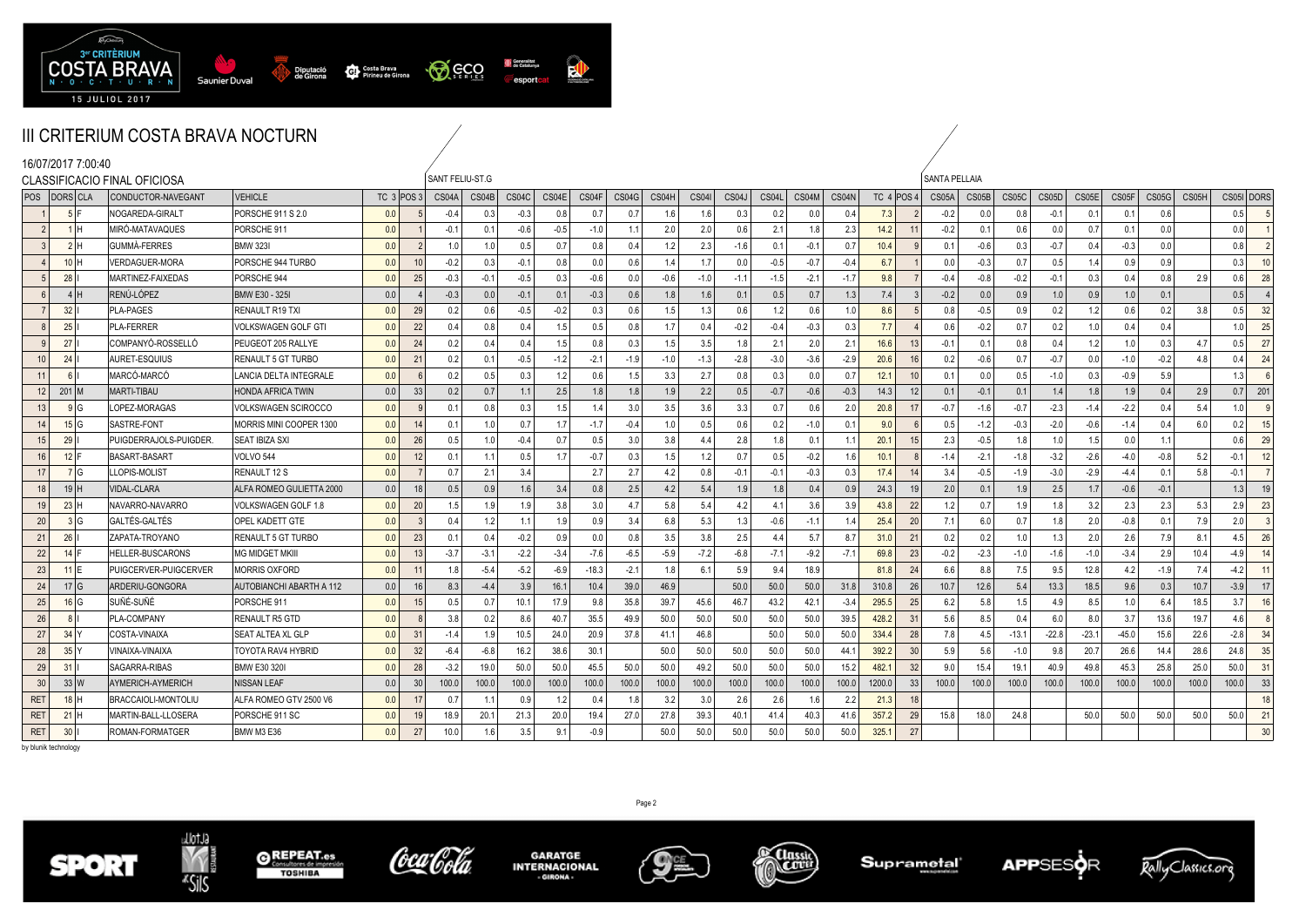

| 16/07/2017 7:00:40 |                                | <b>CLASSIFICACIO FINAL OFICIOSA</b> |                                 |     |                | SANT FELIU-ST.G |        |        |        |         |        |        |              |        |        |        |        |        |                 | <b>SANTA PELLAIA</b> |        |         |         |         |        |        |       |            |                |
|--------------------|--------------------------------|-------------------------------------|---------------------------------|-----|----------------|-----------------|--------|--------|--------|---------|--------|--------|--------------|--------|--------|--------|--------|--------|-----------------|----------------------|--------|---------|---------|---------|--------|--------|-------|------------|----------------|
| POS   DORS CLA     |                                | CONDUCTOR-NAVEGANT                  | <b>VEHICLE</b>                  |     | TC 3 POS 3     | CS04A           | CS04B  | CS04C  | CS04E  | CS04F   | CS04G  | CS04H  | <b>CS041</b> | CS04J  | CS04L  | CS04M  | CS04N  |        | TC 4 POS 4      | CS05A                | CS05B  | CS05C   | CS05D   | CS05E   | CS05F  | CS05G  | CS05H | CS05I DORS |                |
|                    |                                | NOGAREDA-GIRAL1                     | PORSCHE 911 S 2.0               | 0.0 |                | $-0.4$          | 0.3    | $-0.3$ | 0.8    | 0.7     | 0.7    | 1.6    | 1.6          | 0.3    | 0.2    | 0.0    | 0.4    | 7.3    |                 | $-0.2$               | 0.0    | 0.8     | $-0.1$  | 0.1     | 0.1    | 0.6    |       | 0.5        |                |
| 2                  | 1H                             | MIRÓ-MATAVAQUES                     | PORSCHE 911                     | 0.0 |                | $-0.1$          | 0.1    | $-0.6$ | $-0.5$ | $-1.0$  | 1.1    | 2.0    | 2.0          | 0.6    | 2.1    | 1.8    | 2.3    | 14.2   | 11              | $-0.2$               | 0.1    | 0.6     | 0.0     | 0.7     | 0.1    | 0.0    |       | 0.0        |                |
| $\mathbf{3}$       | 2H                             | <b>GUMMA-FERRES</b>                 | <b>BMW 3231</b>                 | 0.0 |                | 1.0             | 1.0    | 0.5    | 0.7    | 0.8     | 0.4    | 1.2    | 2.3          | $-1.6$ | 0.1    | $-0.1$ | 0.7    | 10.4   |                 | 0.1                  | $-0.6$ | 0.3     | $-0.7$  | 0.4     | $-0.3$ | 0.0    |       | 0.8        | $\overline{2}$ |
|                    | 10H                            | /ERDAGUER-MORA                      | PORSCHE 944 TURBO               | 0.0 | 10             | $-0.2$          | 0.3    | $-0.1$ | 0.8    | 0.0     | 0.6    | 1.4    | 1.7          | 0.0    | $-0.5$ | $-0.7$ | $-0.4$ | 6.7    |                 | 0.0                  | $-0.3$ | 0.7     | 0.5     | 1.4     | 0.9    | 0.9    |       | 0.3        | 10             |
|                    | $28$                           | MARTINEZ-FAIXEDAS                   | PORSCHE 944                     | 0.0 | 25             | $-0.3$          | $-0.1$ | $-0.5$ | 0.3    | $-0.6$  | 0.0    | $-0.6$ | $-1.0$       | $-1.1$ | $-1.5$ | $-2.1$ | $-1.7$ | 9.8    |                 | $-0.4$               | $-0.8$ | $-0.2$  | $-0.1$  | 0.3     | 0.4    | 0.8    | 2.9   | 0.6        | 28             |
| 6                  | 4H                             | RENÚ-LÓPEZ                          | <b>BMW E30 - 325I</b>           | 0.0 |                | $-0.3$          | 0.0    | $-0.1$ | 0.1    | $-0.3$  | 0.6    | 1.8    | 1.6          | 0.1    | 0.5    | 0.7    | 1.3    | 7.4    |                 | $-0.2$               | 0.0    | 0.9     | 1.0     | 0.9     | 1.0    | 0.1    |       | 0.5        | $\overline{4}$ |
|                    | 32                             | <b>PLA-PAGES</b>                    | <b>RENAULT R19 TXI</b>          | 0.0 | 29             | 0.2             | 0.6    | $-0.5$ | $-0.2$ | 0.3     | 0.6    | 1.5    | 1.3          | 0.6    | 1.2    | 0.6    | 1.0    | 8.6    | 5               | 0.8                  | $-0.5$ | 0.9     | 0.2     | 1.2     | 0.6    | 0.2    | 3.8   | 0.5        | 32             |
|                    | 25                             | <b>PLA-FERRER</b>                   | VOLKSWAGEN GOLF GTI             | 0.0 | 22             | 0.4             | 0.8    | 0.4    | 1.5    | 0.5     | 0.8    | 1.7    | 0.4          | $-0.2$ | $-0.4$ | $-0.3$ | 0.3    | 7.7    |                 | 0.6                  | $-0.2$ | 0.7     | 0.2     | 1.0     | 0.4    | 0.4    |       | 1.0        | 25             |
|                    | 27 <sup>1</sup>                | COMPANYÓ-ROSSELLÓ                   | PEUGEOT 205 RALLYE              | 0.0 | 24             | 0.2             | 0.4    | 0.4    | 1.5    | 0.8     | 0.3    | 1.5    | 3.5          | 1.8    | 2.1    | 2.0    | 2.1    | 16.6   | 13              | $-0.1$               | 0.1    | 0.8     | 0.4     | 1.2     | 1.0    | 0.3    | 4.7   | 0.5        | 27             |
| 10                 | 24                             | AURET-ESQUIUS                       | <b>RENAULT 5 GT TURBO</b>       | 0.0 | 21             | 0.2             | 0.1    | $-0.5$ | $-1.2$ | $-2.1$  | $-1.9$ | $-1.0$ | $-1.3$       | $-2.8$ | $-3.0$ | $-3.6$ | $-2.9$ | 20.6   | 16              | 0.2                  | $-0.6$ | 0.7     | $-0.7$  | 0.0     | $-1.0$ | $-0.2$ | 4.8   | 0.4        | 24             |
| 11                 | 6                              | MARCÓ-MARCÓ                         | LANCIA DELTA INTEGRALE          | 0.0 |                | 0.2             | 0.5    | 0.3    | 1.2    | 0.6     | 1.5    | 3.3    | 2.7          | 0.8    | 0.3    | 0.0    | 0.7    | 12.1   | 10              | 0.1                  | 0.0    | 0.5     | $-1.0$  | 0.3     | $-0.9$ | 5.9    |       | 1.3        | 6              |
| 12                 | $201$ M                        | <b>MARTI-TIBAU</b>                  | <b>HONDA AFRICA TWIN</b>        | 0.0 | 33             | 0.2             | 0.7    | 1.1    | 2.5    | 1.8     | 1.8    | 1.9    | 2.2          | 0.5    | $-0.7$ | $-0.6$ | $-0.3$ | 14.3   | 12              | 0.1                  | $-0.1$ | 0.1     | 1.4     | 1.8     | 1.9    | 0.4    | 2.9   | 201<br>0.7 |                |
| 13                 | 9 G                            | LOPEZ-MORAGAS                       | VOLKSWAGEN SCIROCCO             | 0.0 |                | 0.1             | 0.8    | 0.3    | 1.5    | 1.4     | 3.0    | 3.5    | 3.6          | 3.3    | 0.7    | 0.6    | 2.0    | 20.8   | 17              | $-0.7$               | $-1.6$ | $-0.7$  | $-2.3$  | $-1.4$  | $-2.2$ | 0.4    | 5.4   | 1.0        | - 9            |
| 14                 | 15 G                           | SASTRE-FONT                         | MORRIS MINI COOPER 1300         | 0.0 | 14             | 0.1             | 1.0    | 0.7    | 1.7    | $-1.7$  | $-0.4$ | 1.0    | 0.5          | 0.6    | 0.2    | $-1.0$ | 0.1    | 9.0    | 6               | 0.5                  | $-1.2$ | $-0.3$  | $-2.0$  | $-0.6$  | $-1.4$ | 0.4    | 6.0   | 0.2        | 15             |
| 15                 | 29                             | PUIGDERRAJOLS-PUIGDER.              | <b>SEAT IBIZA SXI</b>           | 0.0 | 26             | 0.5             | 1.0    | $-0.4$ | 0.7    | 0.5     | 3.0    | 3.8    | 4.4          | 2.8    | 1.8    | 0.1    | 1.1    | 20.1   | 15              | 2.3                  | $-0.5$ | 1.8     | 1.0     | 1.5     | 0.0    | 1.1    |       | 0.6        | 29             |
| 16                 | $12$ <sup><math>F</math></sup> | <b>BASART-BASART</b>                | VOLVO 544                       | 0.0 | 12             | 0.1             | 1.1    | 0.5    | 1.7    | $-0.7$  | 0.3    | 1.5    | 1.2          | 0.7    | 0.5    | $-0.2$ | 1.6    | 10.1   | 8               | $-1.4$               | $-2.1$ | $-1.8$  | $-3.2$  | $-2.6$  | $-4.0$ | $-0.8$ | 5.2   | $-0.1$     | 12             |
| 17                 | 7 G                            | LLOPIS-MOLIST                       | <b>RENAULT 12 S</b>             | 0.0 |                | 0.7             | 2.1    | 3.4    |        | 2.7     | 2.7    | -4.2   | 0.8          | $-0.1$ | $-0.1$ | $-0.3$ | 0.3    | 17.4   | 14              | 3.4                  | $-0.5$ | $-1.9$  | $-3.0$  | $-2.9$  | $-4.4$ | 0.1    | 5.8   | $-0.1$     | $\overline{7}$ |
| 18                 | 19H                            | VIDAL-CLARA                         | ALFA ROMEO GULIETTA 2000        | 0.0 | 18             | 0.5             | 0.9    | 1.6    | 3.4    | 0.8     | 2.5    | 4.2    | 5.4          | 1.9    | 1.8    | 0.4    | 0.9    | 24.3   | 19              | 2.0                  | 0.1    | 1.9     | 2.5     | 1.7     | $-0.6$ | $-0.1$ |       | 1.3        | 19             |
| 19                 | 23H                            | NAVARRO-NAVARRO                     | VOLKSWAGEN GOLF 1.8             | 0.0 | 20             | 1.5             | 1.9    | 1.9    | 3.8    | 3.0     | 4.7    | 5.8    | 5.4          | 4.2    | 4.1    | 3.6    | 3.9    | 43.8   | 22              | 1.2                  | 0.7    | 1.9     | 1.8     | 3.2     | 2.3    | 2.3    | 5.3   | 2.9        | 23             |
| 20                 | 3 G                            | GALTÉS-GALTÉS                       | <b>OPEL KADETT GTE</b>          | 0.0 |                | 0.4             | 1.2    | 1.1    | 1.9    | 0.9     | 3.4    | 6.8    | 5.3          | 1.3    | $-0.6$ | $-1.1$ | 1.4    | 25.4   | 20              | 7.1                  | 6.0    | 0.7     | 1.8     | 2.0     | $-0.8$ | 0.1    | 7.9   | 2.0        | 3              |
| 21                 | 26                             | ZAPATA-TROYANO                      | <b>RENAULT 5 GT TURBO</b>       | 0.0 | 23             | 0.1             | 0.4    | $-0.2$ | 0.9    | 0.0     | 0.8    | 3.5    | 3.8          | 2.5    | 4.4    | 5.7    | 8.7    | 31.0   | 21              | 0.2                  | 0.2    | 1.0     | 1.3     | 2.0     | 2.6    | 7.9    | 8.1   | 4.5        | 26             |
| 22                 | $14$ F                         | <b>HELLER-BUSCARONS</b>             | <b>MG MIDGET MKIII</b>          | 0.0 | 13             | $-3.7$          | $-3.1$ | $-2.2$ | $-3.4$ | $-7.6$  | $-6.5$ | $-5.9$ | $-7.2$       | $-6.8$ | $-7.1$ | $-9.2$ | $-7.1$ | 69.8   | 23              | $-0.2$               | $-2.3$ | $-1.0$  | $-1.6$  | $-1.0$  | $-3.4$ | 2.9    | 10.4  | $-4.9$     | 14             |
| 23                 | $11$ <sup>IE</sup>             | PUIGCERVER-PUIGCERVER               | <b>MORRIS OXFORD</b>            | 0.0 | $1^{\circ}$    | 1.8             | $-5.4$ | $-5.2$ | $-6.9$ | $-18.3$ | $-2.1$ | 1.8    | 6.1          | 5.9    | 9.4    | 18.9   |        | 81.8   | 24              | 6.6                  | 8.8    | 7.5     | 9.5     | 12.8    | 4.2    | $-1.9$ | 7.4   | $-4.2$     | 11             |
| 24                 | 17 <sub>g</sub>                | ARDERIU-GONGORA                     | <b>AUTOBIANCHI ABARTH A 112</b> | 0.0 | 16             | 8.3             | $-4.4$ | 3.9    | 16.1   | 10.4    | 39.0   | 46.9   |              | 50.0   | 50.0   | 50.0   | 31.8   | 310.8  | 26              | 10.7                 | 12.6   | 5.4     | 13.3    | 18.5    | 9.6    | 0.3    | 10.7  | $-3.9$     | 17             |
| 25                 | 16 G                           | SUÑÉ-SUÑÉ                           | PORSCHE 911                     | 0.0 | 15             | 0.5             | 0.7    | 10.1   | 17.9   | 9.8     | 35.8   | 39.7   | 45.6         | 46.7   | 43.2   | 42.1   | $-3.4$ | 295.5  | 25              | 6.2                  | 5.8    | 1.5     | 4.9     | 8.5     | 1.0    | 6.4    | 18.5  | 3.7        | 16             |
| 26                 |                                | PLA-COMPANY                         | <b>RENAULT R5 GTD</b>           | 0.0 |                | 3.8             | 0.2    | 8.6    | 40.7   | 35.5    | 49.9   | 50.0   | 50.0         | 50.0   | 50.0   | 50.0   | 39.5   | 428.2  | 31              | 5.6                  | 8.5    | 0.4     | 6.0     | 8.0     | 3.7    | 13.6   | 19.7  | 4.6        | $\mathbf{g}$   |
| 27                 | 34 <sup>1</sup> Y              | COSTA-VINAIXA                       | <b>SEAT ALTEA XL GLP</b>        | 0.0 | 3 <sup>1</sup> | $-1.4$          | 1.9    | 10.5   | 24.0   | 20.9    | 37.8   | 41.    | 46.8         |        | 50.0   | 50.0   | 50.0   | 334.4  | 28              | 7.8                  | 4.5    | $-13.1$ | $-22.8$ | $-23.1$ | -45.0  | 15.6   | 22.6  | $-2.8$     | 34             |
| 28                 | 35 <sub>1</sub>                | <b>VINAIXA-VINAIXA</b>              | <b>TOYOTA RAV4 HYBRID</b>       | 0.0 | 32             | $-6.4$          | $-6.8$ | 16.2   | 38.6   | 30.1    |        | 50.0   | 50.0         | 50.0   | 50.0   | 50.0   | 44.1   | 392.2  | 30 <sup>°</sup> | 5.9                  | 5.6    | $-1.0$  | 9.8     | 20.7    | 26.6   | 14.4   | 28.6  | 24.8       | 35             |
| 29                 | 31                             | SAGARRA-RIBAS                       | <b>BMW E30 320</b>              | 0.0 | 28             | $-3.2$          | 19.0   | 50.0   | 50.0   | 45.5    | 50.0   | 50(    | 49.2         | 50.0   | 50.0   | 50.0   | 15.2   | 482.1  | 32              | 9.0                  | 15.4   | 19.1    | 40.9    | 49.8    | 45.3   | 25.8   | 25.0  | 50.0       | 31             |
| 30                 | 33 W                           | AYMERICH-AYMERICH                   | <b>NISSAN LEAF</b>              | 0.0 | 30             | 100.0           | 100.0  | 100.0  | 100.0  | 100.0   | 100.0  | 100.0  | 100.0        | 100.0  | 100.0  | 100.0  | 100.0  | 1200.0 | 33              | 100.0                | 100.0  | 100.0   | 100.0   | 100.0   | 100.0  | 100.0  | 100.0 | 100.0      | 33             |
| <b>RET</b>         | $18$ H                         | <b>BRACCAIOLI-MONTOLIU</b>          | ALFA ROMEO GTV 2500 V6          | 0.0 | 17             | 0.7             | 1.1    | 0.9    | 1.2    | 0.4     | 1.8    | 3.2    | 3.0          | 2.6    | 2.6    | 1.6    | 2.2    | 21.3   | 18              |                      |        |         |         |         |        |        |       |            | 18             |
| <b>RET</b>         | $21$ H                         | MARTIN-BALL-LLOSERA                 | PORSCHE 911 SC                  | 0.0 | 19             | 18.9            | 20.1   | 21.3   | 20.0   | 19.4    | 27.0   | 27.8   | 39.3         | 40.1   | 41.4   | 40.3   | 41.6   | 357.2  | 29              | 15.8                 | 18.0   | 24.8    |         | 50.0    | 50.0   | 50.0   | 50.0  | 50.0       | 21             |
| <b>RET</b>         | $30$                           | ROMAN-FORMATGER                     | BMW M3 E36                      | 0.0 | 27             | 10.0            | 1.6    | 3.5    | 9.1    | $-0.9$  |        | 50.0   | 50.0         | 50.0   | 50.0   | 50.0   | 50.0   | 325.1  | 27              |                      |        |         |         |         |        |        |       |            | 30             |

by blunik technology











**CLOSSIC** 

Page 2





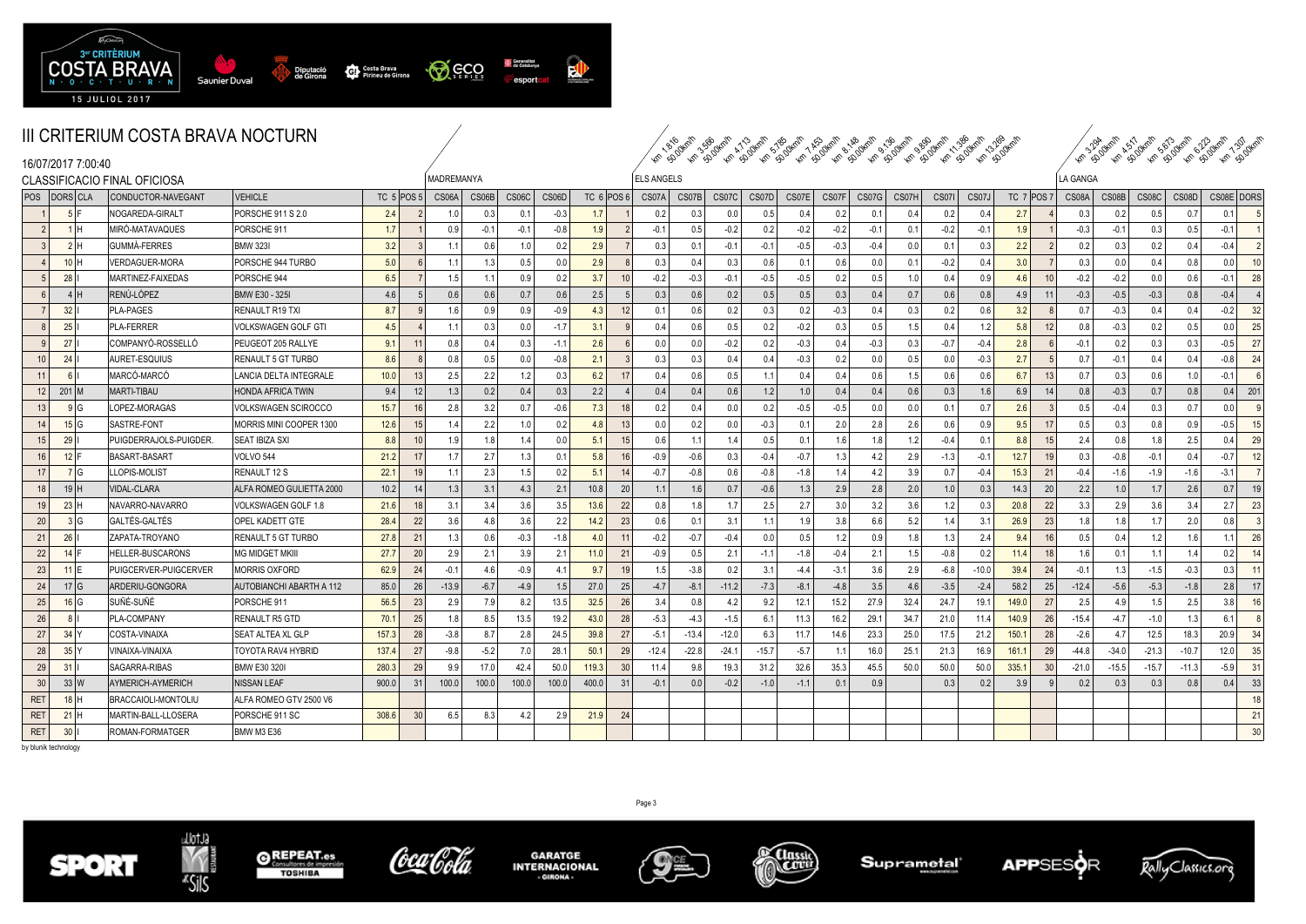

| Km 13.200 Km<br>Km SD OWM<br>Km 1/386 Km<br>Km 1.30 durals<br>Km so dyml<br><b>Km SO OKMIN</b><br><b>Kin S. Agyrilli</b><br>Km 1816 Writin<br>Km So Okmin<br>Kn A JOKNII<br>Km so oknin<br>Km 1 AS OVERILL<br>Lin Apokrall<br><b>Km</b> 3.300 Mml<br>$\sqrt{\phi_{\mathbf{k}}}$<br>Km spoken |
|----------------------------------------------------------------------------------------------------------------------------------------------------------------------------------------------------------------------------------------------------------------------------------------------|



| 16/07/2017 7:00:40            |                              |                                 |              |                |             |        |                 |        |                  |           |                   |         |                  |             |                |        |                  | ちゅうちゅう ちゅうちゅう ちゅう ちゅうちゅう ちゅうしゃ |                  |         |            |     |          |         | *c & *c & *c & *c & *c & |         |            |              |
|-------------------------------|------------------------------|---------------------------------|--------------|----------------|-------------|--------|-----------------|--------|------------------|-----------|-------------------|---------|------------------|-------------|----------------|--------|------------------|--------------------------------|------------------|---------|------------|-----|----------|---------|--------------------------|---------|------------|--------------|
|                               | CLASSIFICACIO FINAL OFICIOSA |                                 |              |                | MADREMANYA  |        |                 |        |                  |           | <b>ELS ANGELS</b> |         |                  |             |                |        |                  |                                |                  |         |            |     | LA GANGA |         |                          |         |            |              |
| POS DORS CLA                  | CONDUCTOR-NAVEGANT           | <b>VEHICLE</b>                  | TC $5$ POS 5 |                | CS06A CS06B |        | $CS06C$ $CS06D$ |        |                  | TC 6 POS6 | CS07A CS07B       |         |                  | CS07C CS07D | CS07E          | CS07F  |                  | CS07G CS07H                    | CS071            | CS07J   | TC 7 POS 7 |     | CS08A    | CS08B   | CS08C                    | CS08D   | CS08E DORS |              |
|                               | NOGAREDA-GIRALT              | PORSCHE 911 S 2.0               | 2.4          |                | 1.0         | 0.3    | 0.1             | $-0.3$ | 1.7 <sub>1</sub> |           | 0.2               | 0.3     | 0.0 <sub>1</sub> | 0.5         | 0 <sub>l</sub> | 0.2    | 0.1              | 0.4                            | 0.2              | 0.4     | 2.7        |     | 0.3      | 0.2     | 0.5                      | 0.7     | 0.1        |              |
|                               | MIRÓ-MATAVAQUES              | PORSCHE 911                     | 1.7          |                | 0.9         | $-0.1$ | $-0.1$          | $-0.8$ | 1.9              |           | $-0.1$            | 0.5     | $-0.2$           | 0.2         | $-0.2$         | $-0.2$ | $-0.1$           | 0.1                            | $-0.2$           | $-0.1$  | 1.9        |     | $-0.3$   | $-0.1$  | 0.3                      | 0.5     | $-0.1$     |              |
|                               | <b>GUMMÀ-FERRES</b>          | <b>BMW 323I</b>                 | 3.2          |                | 1.1         | 0.6    | 1.0             | 0.2    | 2.9              |           | 0.3               | 0.1     | $-0.1$           | $-0.1$      | $-0.5$         | $-0.3$ | $-0.4$           | 0.0                            | $\Omega$         | 0.3     | 2.2        |     | 0.2      | 0.3     | 0.2                      | 0.4     | $-0.4$     |              |
| $10$ H                        | VERDAGUER-MORA               | PORSCHE 944 TURBO               | 5.0          |                | 1.1         | 1.3    | 0.5             | 0.0    | 2.9              |           | 0.3               | 0.4     | 0.3              | 0.6         | $\cap$         | 0.6    | 0.0              | 0.1                            | $-0.2$           | 0.4     | 3.0        |     | 0.3      | 0.0     | 0.4                      | 0.8     | 0.0        |              |
| 28                            | MARTINEZ-FAIXEDAS            | PORSCHE 944                     | 6.5          |                | 1.5         | 1.11   | 0.9             | 0.2    | 3.7              | 10        | $-0.2$            | $-0.3$  | $-0.1$           | $-0.5$      | $-0.5$         | 0.2    | 0.5              | 1.0                            | 0.4              | 0.9     | 4.6        | 10  | $-0.2$   | $-0.2$  | 0.0                      | 0.6     | $-0.1$     | 28           |
| $4$                           | RENÚ-LÓPEZ                   | BMW E30 - 325I                  | 4.6          |                | 0.6         | 0.6    | 0.7             | 0.6    | 2.5              |           | 0.3               | 0.6     | 0.2              | 0.5         | 0.5            | 0.3    | 0.4              | 0.7                            | 0.6              | 0.8     | 4.9        |     | $-0.3$   | $-0.5$  | $-0.3$                   | 0.8     | $-0.4$     |              |
| 32                            | <b>PLA-PAGES</b>             | RENAULT R19 TXI                 | 8.7          |                | 1.6         | 0.9    | 0.9             | $-0.9$ | 4.3              | 12        | 0.1               | 0.6     | 0.2              | 0.3         | 0.2            | $-0.3$ | 0.4              | 0.3                            | 0.2              | 0.6     | 3.2        |     | 0.7      | $-0.3$  | 0.4                      | 0.4     | $-0.2$     | 32           |
| 25                            | <b>PLA-FERRER</b>            | VOLKSWAGEN GOLF GTI             | 4.5          |                | 1.1         | 0.3    | 0.0             | $-1.7$ | 3.1              |           | 0.4               | 0.6     | 0.5              | 0.2         | $-0.2$         | 0.3    | 0.5              | 1.5                            | 04               | 1.2     | 5.8        | 12  | 0.8      | $-0.3$  | 0.2                      | 0.5     | 0.0        | 25           |
| 27                            | COMPANYÓ-ROSSELLÓ            | PEUGEOT 205 RALLYE              | 9.1          |                | 0.8         | 0.4    | 0.3             | $-1.1$ | 2.6              |           | 0.0               |         | $-0.2$           | 0.2         | $-0.3$         | 0.4    | $-0.3$           | 0.3                            | $-0.$            | -0.4    | 2.8        |     | $-0.1$   | 0.2     | 0                        | 0.3     | $-0.5$     | 27           |
| 24<br>10                      | AURET-ESQUIUS                | RENAULT 5 GT TURBO              | 8.6          |                | 0.8         | 0.5    | 0.0             | $-0.8$ | 2.1              |           | 0.3               | 0.3     | 0.4              | 0.4         | $-0.3$         | 0.2    | 0.0              | 0.5                            | 0.0              | $-0.3$  | 2.7        |     | 0.7      | $-0.1$  | 0.4                      | 0.4     | $-0.8$     | 24           |
| 11                            | MARCÓ-MARCÓ                  | LANCIA DELTA INTEGRALE          | 10.0         |                | 2.5         | 2.2    | 1.2             | 0.3    | 6.2              | 17        | 0.4               | 0.6     | 0.5              | 11          | 04             | 0.4    | 0.6              | 1.5                            | 06               | 0.6     | 6.7        | 13  | 0.7      | 0.3     | 0 <sub>f</sub>           | 1.0     | $-0.1$     |              |
| $201$ M<br>12 <sup>1</sup>    | <b>MARTI-TIBAU</b>           | <b>HONDA AFRICA TWIN</b>        | 9.4          |                | 1.3         | 0.2    | 0.4             | 0.3    | 2.2              |           | 0.4               | 0.4     | 0.6              | 1.2         | 1 <sub>0</sub> | 0.4    | 0.4              | 0.6                            | 0.3              | 1.6     | 6.9        | 14  | 0.8      | $-0.3$  | 0.7                      | 0.8     | 0.4        | 201          |
| 13                            | LOPEZ-MORAGAS                | VOLKSWAGEN SCIROCCO             | 15.7         |                | 2.8         | 3.2    | 0.7             | $-0.6$ | 7.3              | 18        | 0.2               | 0.4     | 0.0 <sub>1</sub> | 0.2         | $-0.5$         | $-0.5$ | 0.0              | 0.0                            | 0.,              | 0.7     | 2.6        |     | 0.5      | $-0.4$  | 0.3                      | 0.7     | 0.0        |              |
| 15 G<br>14                    | SASTRE-FONT                  | MORRIS MINI COOPER 1300         | 12.6         |                | 1.4         | 2.2    | 1.0             | 0.2    | 4.8              | 13        | 0.0               | 0.2     | 0.0              | $-0.3$      | $\Omega$       | 2.0    | 2.8              | 2.6                            | 0.6              | 0.9     | 9.5        | 17  | 0.5      | 0.3     | 0.8                      | 0.9     | $-0.5$     |              |
| 29<br>15                      | PUIGDERRAJOLS-PUIGDER.       | <b>SEAT IBIZA SXI</b>           | 8.8          |                | 1.9         | 18     | 1.4             | 0.0    | 5.1              | 15        | 0.6               | 1.1     | 1.4              | 0.5         | $^{\circ}$     | 1.6    | 1.8              | 1.2                            | $-0.4$           | 0.1     | 8.8        | 15  | 2.4      | 0.8     |                          | 2.5     | 0.41       | 29           |
| $12$  <br>16                  | BASART-BASART                | <b>VOLVO 544</b>                | 21.2         |                | 1.7         | 2.7    | 1.3             | 0.1    | 5.8              | 16        | $-0.9$            | $-0.6$  | 0.3              | $-0.4$      | $-0.7$         | 1.3    | 4.2              | 2.9                            | $-1.3$           | $-0.1$  | 12.7       | 19  | 0.3      | $-0.8$  | $-0.7$                   | 0.4     | $-0.7$     | 12           |
| 7 G<br>17 <sup>1</sup>        | LOPIS-MOLIST                 | RENAULT 12 S                    | 22.1         |                | 1.1         | 2.3    | 1.5             | 0.2    | 5.1              | 14        | $-0.7$            | $-0.8$  | 0.6              | $-0.8$      | $-18$          | 1.4    | 4.2              | 3.9                            | 0.7              | $-0.4$  | 15.3       | 21  | $-0.4$   | $-1.6$  | $-1.9$                   | $-1.6$  | $-3.1$     |              |
| 19H<br>18 I                   | <b>VIDAL-CLARA</b>           | ALFA ROMEO GULIETTA 2000        | 10.2         |                | 1.3         | 3.1    | 4.3             | 2.1    | 10.8             | 20        | 1.1               | 1.6     | 0.7              | $-0.6$      | 1.3            | 2.9    | 2.8              | 2.0                            | 1.0 <sub>1</sub> | 0.3     | 14.3       | 20  | 2.2      | 1.0     | 1.7                      | 2.6     | 0.7        |              |
| 23<br>19                      | NAVARRO-NAVARRO              | VOLKSWAGEN GOLF 1.8             | 21.6         |                | 3.1         | 3.4    | 3.6             | 3.5    | 13.6             | 22        | 0.8               | 1.8     | 1.7              | 2.5         | 2.7            | 3.0    | 3.2              | 3.6                            |                  | 0.3     | 20.8       | 22  | 3.3      | 2.9     | 3.6                      | 3.4     | 2.7        | 23           |
| 20                            | GALTÉS-GALTÉS                | OPEL KADETT GTE                 | 28.4         | 2              | 3.6         | 4.8    | 3.6             | 2.2    | 14.2             | 23        | 0.6               | 0.1     | 3.1              | 1.1         |                | 3.8    | 6.6              | 5.2                            |                  | 3.1     | 26.9       | 23  | 1.8      | 1.8     | $-1.7$                   | 2.0     | 0.8        |              |
| 26<br>21                      | ZAPATA-TROYANO               | RENAULT 5 GT TURBO              | 27.8         | $\mathcal{P}$  | 1.3         | 0.6    | $-0.3$          | $-1.8$ | 40 <sup>1</sup>  | 11        | $-0.2$            | $-0.7$  | $-0.4$           | 0.0         | . በ ይ          | 1.2    | 0.9 <sup>°</sup> | 1.8                            |                  | 2.4     | 9.4        | 16  | 0.5      | 0.4     | -1.2                     | 1.6     | 11         | 26           |
| 22<br>14                      | <b>HELLER-BUSCARONS</b>      | MG MIDGET MKIII                 | 27.7         | $\overline{2}$ | 2.9         | 2.1    | 3.9             | 2.1    | 11.0             | 21        | $-0.9$            | 0.5     | 2.1              | $-1.1$      | -18            | $-0.4$ | 2.1              | 1.5                            | $-0.8$           | 0.2     | 11.4       | 18  | 16       | 0.1     |                          | 1.4     | 0.2        |              |
| 23<br>$11$ IF                 | PUIGCERVER-PUIGCERVER        | <b>MORRIS OXFORD</b>            | 62.9         | $\overline{2}$ | $-0.1$      | 46     | $-0.9$          | 4.1    | 9.7              | 19        | 1.5               | $-3.8$  | 0.2              | 3.1         | $-4$           | $-3.1$ | 3.6              | 2.9                            | $-6.8$           | $-10.0$ | 39.4       | 24  | $-0.1$   | 1.3     | $-1.5$                   | $-0.3$  | 0.3        |              |
| 24<br>$17 \, \text{IG}$       | ARDERIU-GONGORA              | <b>AUTOBIANCHI ABARTH A 112</b> | 85.0         | 26             | $-13.9$     | $-6.7$ | $-4.9$          | 1.5    | 27.0             | 25        | $-4.7$            | $-8.1$  | $-11.2$          | $-7.3$      | $-8.$          | $-4.8$ | 3.5              | 4.6                            | $-3.5$           | $-2.4$  | 58.2       | 25  | $-12.4$  | $-5.6$  | $-5.3$                   | $-1.8$  | 2.8        |              |
| 25<br>16 G                    | SUÑÉ-SUÑÉ                    | PORSCHE 911                     | 56.5         | -23            | 2.9         | 7.9    | 8.2             | 13.5   | 32.5             | 26        | 3.4               | 0.8     | 4.2              | 9.2         | 12.1           | 15.2   | 27.9             | 32.4                           | 24.7             | 19.1    | 149.0      | -27 | 2.5      | 4.9     |                          | 2.5     | 3.8        | 16           |
| 26                            | PLA-COMPANY                  | <b>RENAULT R5 GTD</b>           | 70.1         | 25             | 1.8         | 8.5    | 13.5            | 19.2   | 43.0             | 28        | $-5.3$            | $-4.3$  | $-1.5$           | 6.1         | 11.3           | 16.2   | 29.1             | 34.7                           | 21.0             | 11.4    | 140.9      | 26  | $-15.4$  | $-4.7$  | $-1.0$                   | 1.3     | 6.1        |              |
| 27<br>34                      | COSTA-VINAIXA                | SEAT ALTEA XL GLP               | 157.3        | 28             | $-3.8$      | 8.7    | 2.8             | 24.5   | 39.8             | 27        | $-5.1$            | $-13.4$ | $-12.0$          | 6.3         | 11.7           | 14.6   | 23.3             | 25.0                           | 17.5             | 21.2    | 150.1      | 28  | $-2.6$   | 4.7     | 12.5                     | 18.3    | 20.9       | 34           |
| 28<br>35                      | <b>/INAIXA-VINAIXA</b>       | TOYOTA RAV4 HYBRID              | 137.4        | $\overline{2}$ | $-9.8$      | $-5.2$ | 7.0             | 28.1   | 50.1             | 29        | $-12.4$           | $-22.8$ | $-24.1$          | $-15.7$     | $-5.7$         | 1.1    | 16.0             | 25.1                           | 21.3             | 16.9    | 161.1      | 29  | $-44.8$  | $-34.0$ | $-21.3$                  | $-10.7$ | 12.0       | 35           |
| 29<br>31                      | SAGARRA-RIBAS                | <b>BMW E30 3201</b>             | 280.3        | 2!             | 9.9         | 17.0   | 42.4            | 50.0   | 119.3            | 30        |                   | 9.8     | 19.3             | 31.2        | 32.6           | 35.3   | 45.5             | 50.0                           | 50.0             | 50.0    | 335.1      | 30  | $-21.0$  | $-15.5$ | $-15.7$                  | $-11.3$ | $-5.9$     | 31           |
| 33 <br>30                     | <b>AYMERICH-AYMERICH</b>     | <b>NISSAN LEAF</b>              | 900.0        | -3             | 100.0       | 100.0  | 100.0           | 100.0  | 400.0            | 31        | $-0.1$            | 0.0     | $-0.2$           | $-1.0$      | $-1.1$         | 0.1    | 0.9              |                                | 0.3              | 0.2     | 3.9        |     | 0.2      | 0.3     | $0.\overline{3}$         | 0.8     | 0.4        | 33           |
| <b>RET</b><br>18 <sup>1</sup> | BRACCAIOLI-MONTOLIU          | ALFA ROMEO GTV 2500 V6          |              |                |             |        |                 |        |                  |           |                   |         |                  |             |                |        |                  |                                |                  |         |            |     |          |         |                          |         |            |              |
| <b>RET</b><br>21              | MARTIN-BALL-LLOSERA          | PORSCHE 911 SC                  | 308.6        | 3 <sup>1</sup> | 6.5         | 8.3    | 4.2             | 2.9    | 21.9             | 24        |                   |         |                  |             |                |        |                  |                                |                  |         |            |     |          |         |                          |         |            | 21           |
| <b>RET</b><br>30 <sup>1</sup> | ROMAN-FORMATGER              | <b>BMW M3 E36</b>               |              |                |             |        |                 |        |                  |           |                   |         |                  |             |                |        |                  |                                |                  |         |            |     |          |         |                          |         |            | $30^{\circ}$ |

by blunik technology









**GARATGE<br>INTERNACIONAL**  $. QIBOMA$ 



Page 3

**CONSIDERATION** 



**APPSESOR** 

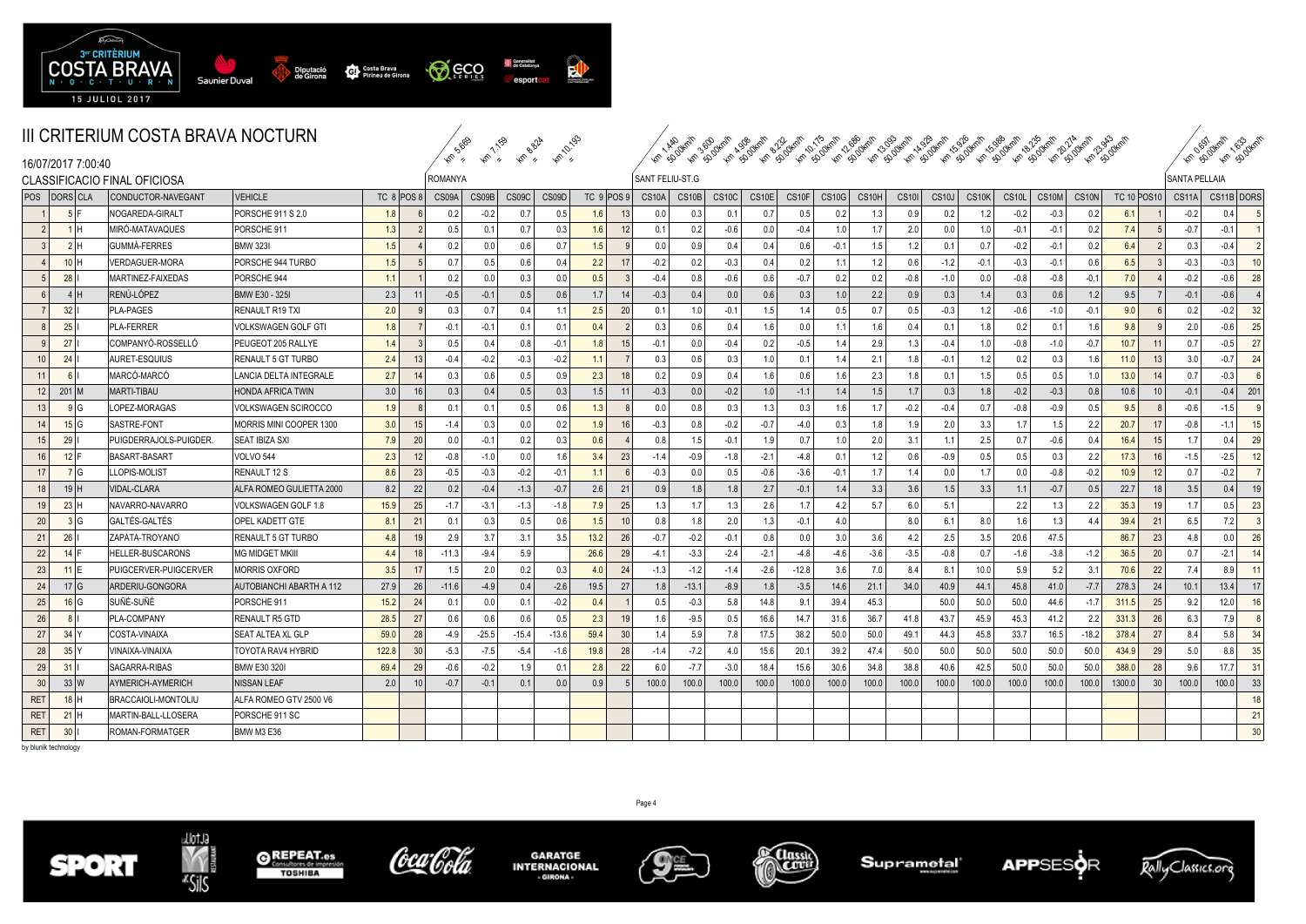

|                              | <u>III UNITENIUM UUSTA DNAVA NUUTUNN</u> |                                 |       |            | S.GO           | 1.159                       | <b>Km BBlA</b> | Km10.195 |                  |                 | <b>Km AASOKOIN</b> |                  |                    |                   |                   |                   |        |              |              |                  |        |        |         |                         |               | <b>HT SO DKMM 1633 UNIT</b> |     |
|------------------------------|------------------------------------------|---------------------------------|-------|------------|----------------|-----------------------------|----------------|----------|------------------|-----------------|--------------------|------------------|--------------------|-------------------|-------------------|-------------------|--------|--------------|--------------|------------------|--------|--------|---------|-------------------------|---------------|-----------------------------|-----|
| 16/07/2017 7:00:40           |                                          |                                 |       |            | $\mathcal{P}$  | $\mathcal{D}_{\mathcal{L}}$ |                |          |                  |                 |                    |                  |                    |                   |                   |                   |        |              |              |                  |        |        |         |                         |               |                             |     |
| CLASSIFICACIO FINAL OFICIOSA |                                          |                                 |       |            | <b>ROMANYA</b> |                             |                |          |                  |                 | SANT FELIU-ST.G    |                  |                    |                   |                   |                   |        |              |              |                  |        |        |         |                         | SANTA PELLAIA |                             |     |
| POS DORSCLA                  | CONDUCTOR-NAVEGANT                       | <b>VEHICLE</b>                  |       | TC 8 POS 8 | CS09A          | CS09B                       | CS09C          | CS09D    | TC 9 POS9        |                 | CS10A              | CS10B            | CS <sub>10</sub> C | CS <sub>10E</sub> | CS <sub>10F</sub> | CS <sub>10G</sub> | CS10H  | <b>CS101</b> | <b>CS10J</b> | <b>CS10K</b>     | CS10L  | CS10M  | CS10N   | <b>TC 10 POS10</b>      |               | CS11A CS11B DORS            |     |
| 5F                           | NOGAREDA-GIRALT                          | <b>PORSCHE 911 S 2.0</b>        | 18    |            | 0.2            | $-0.2$                      | 0.7            | 0.5      |                  | 13              | 0.0                | 0.3              | 0.1                | 0.7               | 0.5               | 0.2               | 1.3    | 0.9          | 0.2          | 1.2              | $-0.2$ | $-0.3$ | 0.2     | 6.1                     | $-0.2$        | 0.4                         |     |
| 1H                           | MIRÓ-MATAVAQUES                          | PORSCHE 911                     | 1.3   |            | 0.5            | 0.1                         | 0.7            | 0.3      |                  | 12              | 0.1                | 0.2              | $-0.6$             | 0.0               | $-0.4$            | 1.0 <sub>1</sub>  | 1.7    | 2.0          | 0.0          | 1.0              | $-0.1$ | $-0.1$ | 0.2     | 7.4                     | $-0.7$        | $-0.1$                      |     |
| 2H                           | GUMMÀ-FERRES                             | <b>BMW 323I</b>                 | 1.5   |            | 0.2            | 0.0                         | 0.6            | 0.7      | 1.5              | $\mathbf{q}$    | 0.0                | 0.9              | 0.4                | 0.4               | 0.6               | $-0.1$            | 1.5    | 1.2          | 0.1          | 0.7              | $-0.2$ | $-0.1$ | 0.2     | 6.4                     | 0.3           | $-0.4$                      |     |
| $10$ H                       | VERDAGUER-MORA                           | PORSCHE 944 TURBO               | 1.5   |            | 0.7            | 0.5                         | 0.6            | 0.4      | 2.2              | 17 <sup>1</sup> | $-0.2$             | 0.2              | $-0.3$             | 0.4               | 0.2               | $-1.1$            | 1.2    | 0.6          | $-1.2$       | $-0.1$           | $-0.3$ | $-0.1$ | 0.6     | 6.5                     | $-0.3$        | $-0.3$                      | 10  |
| 28                           | MARTINEZ-FAIXEDAS                        | PORSCHE 944                     | 1.1   |            | 0.2            | 0.0                         | 0.3            | 0.0      | 0.5              |                 | $-0.4$             | 0.8              | $-0.6$             | 0.6               | $-0.7$            | 0.2               | 0.2    | $-0.8$       | $-1.0$       | 0.0              | $-0.8$ | $-0.8$ | $-0.1$  | 7.0                     | $-0.2$        | $-0.6$                      | 28  |
| 4H                           | RENÚ-LÓPEZ                               | <b>BMW E30 - 325I</b>           | 2.3   |            | $-0.5$         | $-0.1$                      | 0.5            | 0.6      | 1.7              | 14              | $-0.3$             | 0.4              | 0.0                | 0.6               | 0.3               | 1.0               | 2.2    | 0.9          | 0.3          | 1.4              | 0.3    | 0.6    | 1.2     | 9.5                     | $-0.1$        | $-0.6$                      |     |
| 32                           | <b>PLA-PAGES</b>                         | <b>RENAULT R19 TXI</b>          | 2.0   |            | 0.3            | 0.7                         | 0.4            |          | 2.5              | 20              | 0.1                | 1.0              | $-0.1$             | 1.5               | 1.4               | 0.5               | 0.7    | 0.5          | $-0.3$       | 1.2              | $-0.6$ | $-1.0$ | $-0.1$  | 9.0                     | 0.2           | $-0.2$                      | 32  |
| 25                           | <b>PLA-FERRER</b>                        | VOLKSWAGEN GOLF GTI             | 1.8   |            | $-0.1$         | $-0.1$                      | 0.1            | 0.1      | 0.4              | 2               | 0.3                | 0.6              | 0.4                | 1.6               | 0.0               | 11                | 1.6    | 0.4          | 0.1          | 1.8              | 0.2    | 0.1    | 1.6     | 9.8                     | 2.0           | $-0.6$                      | 25  |
| 27                           | COMPANYÓ-ROSSELLÓ                        | PEUGEOT 205 RALLYE              | 1.4   |            | 0.5            | 0.4                         | 0.8            | $-0$ .   |                  | 15              | $-0.1$             | 0.0 <sub>1</sub> | $-0.4$             | 0.2               | $-0.5$            | 1.4               | 2.9    | 1.3          | $-0.4$       | 1.0 <sub>l</sub> | $-0.8$ | $-1.0$ | $-0.7$  | 10.7                    | 0.7           | $-0.5$                      | 27  |
| 24<br>10 <sup>1</sup>        | AURET-ESQUIUS                            | <b>RENAULT 5 GT TURBO</b>       | 2.4   | 13         | $-0.4$         | $-0.2$                      | $-0.3$         | $-0.2$   | 1.1              |                 | 0.3                | 0.6              | 0.3                | 1.0 <sub>1</sub>  | 0.1               | 1.4               | 2.1    | 1.8          | $-0.1$       | 1.2              | 0.2    | 0.3    | 1.6     | 11.0                    | 3.0           | $-0.7$                      | 24  |
| 6<br>11                      | MARCÓ-MARCÓ                              | LANCIA DELTA INTEGRALE          | 2.7   | 14         | 0.3            | 0.6                         | 0.5            | 0.9      | 2.3              | 18              | 0.2                | 0.9              | 0.4                | 1.6               | 0.6               | 1.6               | 2.3    | 1.8          | 0.1          | 1.5              | 0.5    | 0.5    | 1.0     | 13.0                    | 0.7           | $-0.3$                      |     |
| $12$ 201 M                   | <b>MARTI-TIBAU</b>                       | <b>HONDA AFRICA TWIN</b>        | 3.0   | 16         | 0.3            | 0.4                         | 0.5            | 0.3      | 1.5              | 11              | $-0.3$             | 0.0              | $-0.2$             | 1.0               | $-1.1$            | 1.4               | 1.5    | 1.7          | 0.3          | 1.8              | $-0.2$ | $-0.3$ | 0.8     | 10.6                    | $-0.1$        | $-0.4$                      | 201 |
| 9G<br>13                     | LOPEZ-MORAGAS                            | VOLKSWAGEN SCIROCCO             | 1.9   |            | 0.1            | 0.1                         | 0.5            | 0.6      | $\overline{1}$ : |                 | 0.0                | 0.8              | 0.3                | 1.3               | 0.3               | 1.6               | 1.7    | $-0.2$       | $-0.4$       | 0.7              | $-0.8$ | $-0.9$ | 0.5     | 9.5                     | $-0.6$        | $-1.5$                      |     |
| 15 G<br>14                   | SASTRE-FONT                              | MORRIS MINI COOPER 1300         | 3.0   | 15         | $-1.4$         | 0.3                         | 0.0            | 0.2      | 1.9              | 16              | $-0.3$             | 0.8              | $-0.2$             | $-0.7$            | $-4.0$            | 0.3               | 1.8    | 1.9          | 2.0          | 3.3              | 1.7    | 1.5    | 2.2     | 20.7                    | $-0.8$        | $-1.1$                      | 15  |
| 29<br>15                     | PUIGDERRAJOLS-PUIGDER                    | <b>SEAT IBIZA SXI</b>           | 7.9   | 20         | 0.0            | $-0.1$                      | 0.2            | 0.3      | 0.6              |                 | 0.8                | 1.5              | $-0.1$             | 1.9               | 0.7               | 1.0               | 2.0    | 3.1          | 1.1          | 2.5              | 0.7    | $-0.6$ | 0.4     | 16.4<br>-15             | 1.7           | 0.4                         | 29  |
| 16<br>$12$ F                 | BASART-BASART                            | <b>VOLVO 544</b>                | 2.3   | 12         | $-0.8$         | $-1.0$                      | 0.0            | 1.6      | 3.4              | 23              | $-1.4$             | $-0.9$           | $-1.8$             | $-2.1$            | $-4.8$            | 0.1               | 1.2    | 0.6          | $-0.9$       | 0.5              | 0.5    | 0.3    | 2.2     | 17.3                    | $-1.5$        | $-2.5$                      | 12  |
| 7 G<br>17                    | LOPIS-MOLIST                             | RENAULT 12 S                    | 8.6   | 23         | $-0.5$         | $-0.3$                      | $-0.2$         | $-0.1$   | $-1.1$           | 6               | $-0.3$             | 0.0              | 0.5                | $-0.6$            | $-3.6$            | $-0.1$            | 1.7    | 14           | 0.0          | 1.7              | 0.0    | $-0.8$ | $-0.2$  | 10.9                    | 0.7           | $-0.2$                      |     |
| 19H<br>18 <sup>1</sup>       | VIDAL-CLARA                              | ALFA ROMEO GULIETTA 2000        | 8.2   | 22         | 0.2            | $-0.4$                      | $-1.3$         | $-0.7$   | 2.6              | 21              | 0.9                | 1.8              | 1.8                | 2.7               | $-0.1$            | 1.4               | 3.3    | 3.6          | 1.5          | 3.3              | 1.1    | $-0.7$ | 0.5     | 22.7                    | 3.5           | 0.4                         | 19  |
| 23H<br>19                    | NAVARRO-NAVARRO                          | VOLKSWAGEN GOLF 1.8             | 15.9  | 25         | $-1.7$         | $-3.1$                      | $-1.3$         | $-1.8$   | 7.9              | 25              | 1.3                | 1.7              | 1.3                | 2.6               | 1.7               | 4.2               | 5.7    | 6.0          | 5.1          |                  | 2.2    |        | 2.2     | 35.3                    | 1.7           | 0.5                         | 23  |
| 20 <sup>1</sup><br>3 G       | GALTÉS-GALTÉS                            | OPEL KADETT GTE                 | 8.1   | 21         | 0.1            | 0.3                         | 0.5            | 0.6      | 1.5              | 10              | 0.8                | 1.8              | 2.0                | 1.3               | $-0.1$            | 4.0               |        | 8.0          | 6.1          | 8.0              | 1.6    |        | 4.4     | 39.4<br>$2^{\circ}$     | 6.5           | 7.2                         |     |
| 21<br>26                     | ZAPATA-TROYANO                           | RENAULT 5 GT TURBO              | 4.8   | 19         | 2.9            | 3.7                         | 3.1            | 3.5      | 13.2             | 26              | $-0.7$             | $-0.2$           | $-0.1$             | 0.8               | 0.0               | 3.0               | 3.6    | 4.2          | 2.5          | 3.5              | 20.6   | 47.5   |         | 86.7<br>23              | 4.8           | 0.0                         | 26  |
| 22<br>14                     | HELLER-BUSCARONS                         | <b>MG MIDGET MKIII</b>          | 4.4   | 18         | $-11.3$        | $-9.4$                      | 5.9            |          | 26.6             | 29              | $-4.1$             | $-3.3$           | $-2.4$             | $-2.1$            | $-4.8$            | $-4.6$            | $-3.6$ | $-3.5$       | $-0.8$       | 0.7              | $-1.6$ | $-3.8$ | $-1.2$  | 36.5<br>-20             | 0.7           | $-2.1$                      |     |
| 23<br>$11$ IE                | PUIGCERVER-PUIGCERVER                    | <b>MORRIS OXFORD</b>            | 3.5   | 17         | 1.5            | 2.0                         | 0.2            | 0.3      | 4.0              | 24              | $-1.3$             | $-1.2$           | $-1.4$             | $-2.6$            | $-12.8$           | 3.6               | 7.0    | 8.4          | 8.1          | 10.0             | 5.9    | 5.2    | 3.1     | 22<br>70.6              | 7.4           | 8.9                         |     |
| 17 G<br>24                   | ARDERIU-GONGORA                          | <b>AUTOBIANCHI ABARTH A 112</b> | 27.9  | 26         | $-11.6$        | $-4.9$                      | 0.4            | $-2.6$   | 19.5             | 27              | 1.8                | $-13.1$          | $-8.9$             | 1.8               | $-3.5$            | 14.6              | 21.1   | 34.0         | 40.9         | 44.1             | 45.8   | 41.0   | $-7.7$  | 278.3<br>2 <sup>2</sup> | 10.1          | 13.4                        | 17  |
| 25<br>16 G                   | SUÑÉ-SUÑÉ                                | PORSCHE 91                      | 15.2  | 24         | 0.1            | 0.0                         | 0.1            | $-0.2$   | 0.4              |                 | 0.5                | $-0.3$           | 5.8                | 14.8              | 9.1               | 39.4              | 45.3   |              | 50.0         | 50.0             | 50.0   | 44.6   | $-1.7$  | 311.5<br>-25            | 9.2           | 12.0                        | 16  |
| 26<br>8                      | PLA-COMPANY                              | RENAULT R5 GTD                  | 28.5  | 27         | 0.6            | 0.6                         | 0.6            | 0.5      | 2.3              | 19 <sup>1</sup> | 1.6                | $-9.5$           | 0.5                | 16.6              | 14.7              | 31.6              | 36.7   | 41.8         | 43.7         | 45.9             | 45.3   | 41.2   | 2.2     | 331.3<br>26             | 6.3           | 7.9                         |     |
| 27<br>34                     | COSTA-VINAIXA                            | SEAT ALTEA XL GLP               | 59.0  | 28         | $-4.9$         | $-25.5$                     | $-15.4$        | $-13.6$  | 59.4             | 30              | 1.4                | 5.9              | 7.8                | 17.5              | 38.2              | 50.0              | 50.0   | 49.          | 44.3         | 45.8             | 33.7   | 16.5   | $-18.2$ | 378.4<br>$^{2}$         | 8.4           | 5.8                         | 34  |
| 28<br>35                     | /INAIXA-VINAIXA                          | TOYOTA RAV4 HYBRID              | 122.8 | 30         | $-5.3$         | $-7.5$                      | $-5.4$         | $-1.6$   | 19.8             | 28              | $-1.4$             | $-7.2$           | 4.0                | 15.6              | 20.7              | 39.2              | 47.4   | 50.0         | 50.0         | 50.0             | 50.0   | 50.0   | 50.0    | 434.9<br>- 29           | 5.0           | 8.8                         | 35  |
| 29<br>31                     | SAGARRA-RIBAS                            | BMW E30 320I                    | 69.4  | 29         | $-0.6$         | $-0.2$                      | 1.9            | $\Omega$ | 2.8              | 22              | 6.0                | $-7.7$           | $-3.0$             | 18.4              | 15.6              | 30.6              | 34.8   | 38.8         | 40.6         | 42.5             | 50.0   | 50.    | 50.0    | 388.0<br>28             | 9.6           | 17.7                        | 31  |
| 33 W<br>30                   | AYMERICH-AYMERICH                        | <b>NISSAN LEAF</b>              | 2.0   | 10         | $-0.7$         | $-0.1$                      | 0.1            | 0.0      | 0.9              |                 | 100.0              | 100.0            | 100.0              | 100.0             | 100.0             | 100.0             | 100.0  | 100.0        | 100.0        | 100.0            | 100.0  | 100.0  | 100.0   | 1300.0<br>30            | 100.0         | 100.0                       | 33  |
| $18$ H<br><b>RET</b>         | BRACCAIOLI-MONTOLIU                      | ALFA ROMEO GTV 2500 V6          |       |            |                |                             |                |          |                  |                 |                    |                  |                    |                   |                   |                   |        |              |              |                  |        |        |         |                         |               |                             |     |
| <b>RET</b><br>21H            | MARTIN-BALL-LLOSERA                      | PORSCHE 911 SC                  |       |            |                |                             |                |          |                  |                 |                    |                  |                    |                   |                   |                   |        |              |              |                  |        |        |         |                         |               |                             |     |
| <b>RET</b><br>$30$           | ROMAN-FORMATGER                          | BMW M3 E36                      |       |            |                |                             |                |          |                  |                 |                    |                  |                    |                   |                   |                   |        |              |              |                  |        |        |         |                         |               |                             |     |

by blunik technology









**GARATGE<br>INTERNACIONAL JOHNNA** 



Page 4

**Suprametal** 





∑uas<br>∂NC0